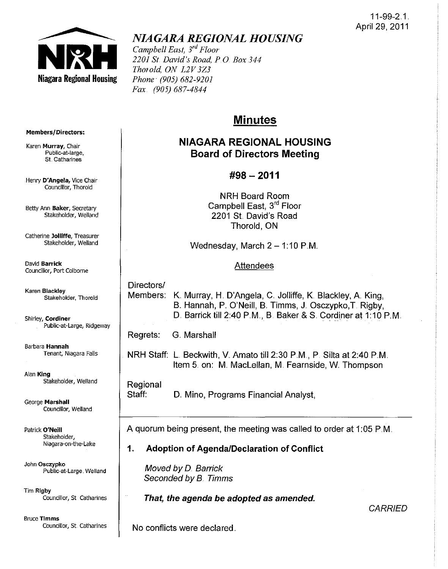#### 11-99-2.1. April 29, 2011



# *NIAGARA REGIONAL HOUSING*

*Campbell East, 3rd Floor 2201* Sf *David's Road, PO Box 344 Thorold, ON L2V3Z3 Phone· (905) 682-9201 Fax (905) 687-4844* 

# **Minutes**

# NIAGARA REGIONAL HOUSING Board of Directors Meeting

## #98 - 2011

NRH Board Room Campbell East, 3<sup>rd</sup> Floor 2201 St. David's Road Thorold, ON

Wednesday, March  $2 - 1:10$  P.M.

#### Attendees

Directors/

Shirley, Cordiner Public-at-Large, Ridgeway

Barbara Hannah

Alan King Stakeholder, Weiland

George Marshall Councillor, Weiland

Patrick O'Neill Stakeholder, Niagara-on-the-Lake

John Osczypko Public-at-Large, Weiland

Tim Rigby Councillor, St Catharines

Bruce Timms Councillor, St. Catharines Members: K. Murray, H. D'Angela, C. Jolliffe, K. Blackley, A. King, B. Hannah, P. O'Neill, B. Timms, J. Osczypko,T. Rigby, D. Barrick till 2:40 P.M., B. Baker & S. Cordiner at 1:10 P.M.

Regrets: G. Marshall

NRH Staff: L Beckwith, V. Amato till 2:30 PM, P Silta at 2:40 PM Item 5. on: M. MacLellan, M. Fearnside, W. Thompson

Regional Staff: D. Mino, Programs Financial Analyst,

A quorum being present, the meeting was called to order at 1:05 P.M.

### 1. Adoption of Agenda/Declaration of Conflict

Moved by D. Barrick Seconded by B. Timms

That, the agenda be adopted as amended.

**CARRIED** 

No conflicts were declared.

#### Members/Directors:

Karen Murray, Chair Public~at-Iarge, St. Catharines

Henry D'Angela, Vice Chair Councillor, Thorold

Betty Ann Baker, Secretary Stakeholder, Weiland

catherine Jolliffe, Treasurer Stakeholder, Weiland

David Barrick Councillor, Port Colborne

Karen Blackley Stakeholder, Thorold

# Tenant, Niagara Falls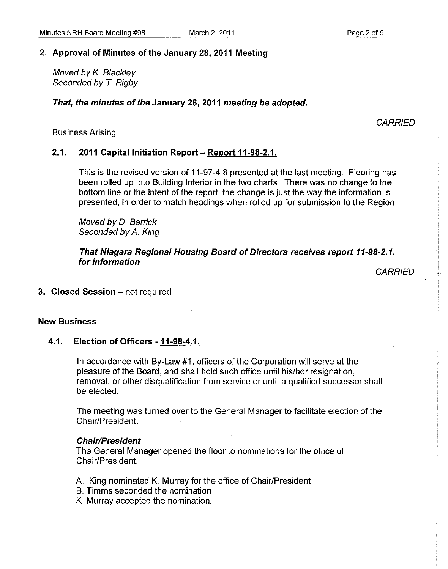#### **2. Approval of Minutes of the January 28, 2011 Meeting**

Moved by K. Blackley Seconded by *T.* Rigby

#### **That, the minutes of the January 28, 2011 meeting be adopted.**

#### Business Arising

#### 2.1. **2011 Capital Initiation Report - Report 11-98-2.1.**

This is the revised version of 11-97-4.8 presented at the last meeting. Flooring has been rolled up into Building Interior in the two charts .. There was **no** change to the bottom line or the intent of the report; the change is just the way the information is presented, in order to match headings when rolled up for submission to the Region ..

Moved by D. Barrick Seconded by A. King

**That Niagara Regional Housing Board of Directors receives report 11-98-2.1. for information** 

**CARRIED** 

3. Closed Session - not required

#### **New Business**

#### 4.1. **Election of Officers - 11-98-4.1.**

In accordance with By-Law #1, officers of the Corporation will serve at the pleasure of the Board, and shall hold such office until his/her resignation, removal, or other disqualification from service or until a qualified successor shall be elected.

The meeting was turned over to the General Manager to facilitate election of the Chair/President

#### **Chair/President**

The General Manager opened the floor to nominations for the office of Chair/President

A. King nominated K. Murray for the office of Chair/President.

- B. Timms seconded the nomination.
- K. Murray accepted the nomination ..

**CARRIED**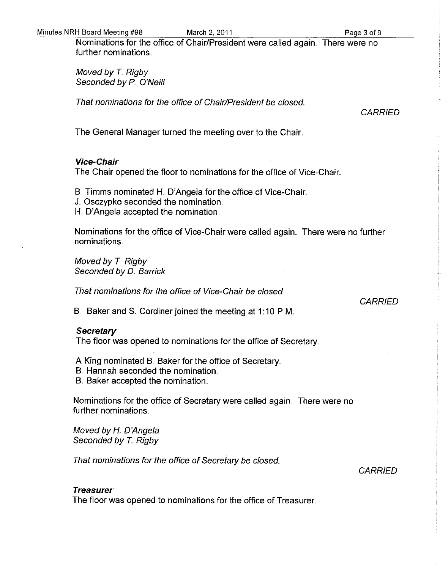Nominations for the office of Chair/President were called again. There were no further nominations.

Moved by *T.* Rigby Seconded by P. O'Neill

That nominations for the office of Chair/President be closed.

CARRIED

The General Manager tumed the meeting over to the Chair.

#### **Vice-Chair**

The Chair opened the floor to nominations for the office of Vice-Chair..

B. Timms nominated H. D'Angela for the office of Vice-Chair.

- J.. Osczypko seconded the nomination.
- H. D'Angela accepted the nomination.

Nominations for the office of Vice-Chair were called again. There were no further nominations.

Moved by T. Rigby Seconded by D. Barrick

That nominations for the office of Vice-Chair be closed.

#### **CARRIED**

B. Baker and S. Cordiner joined the meeting at 1:10 P.M.

#### **Secretary**

The floor was opened to nominations for the office of Secretary ..

A King nominated B. Baker for the office of Secretary.

- B. Hannah seconded the nomination.
- B. Baker accepted the nomination.

Nominations for the office of Secretary were called again. There were no further nominations.

Moved by H. D'Angela Seconded by T. Rigby

That nominations for the office of Secretary be closed.

**CARRIED** 

#### **Treasurer**

The floor was opened to nominations for the office of Treasurer ..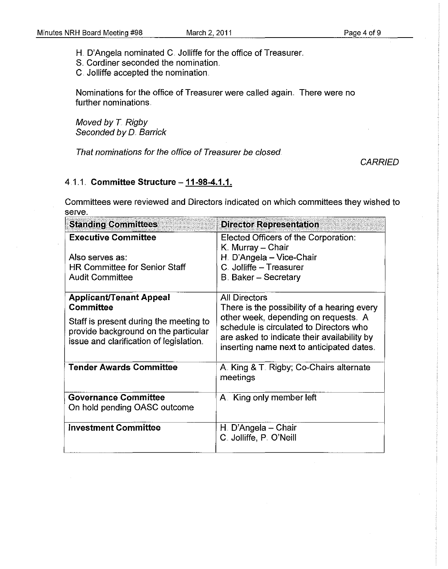H. D'Angela nominated C. Jolliffe for the office of Treasurer.

S. Cordiner seconded the nomination.

C. Jolliffe accepted the nomination ..

Nominations for the office of Treasurer were called again .. There were no further nominations

Moved by T. Rigby Seconded by D. Barrick

That nominations for the office of Treasurer be closed

**CARRIED** 

### 4.1 .. 1.. **Committee Structure - 11-98-4.1.1.**

Committees were reviewed and Directors indicated on which committees they wished to serve.

| <b>Standing Committees</b>                                                                                                                                               | <b>Director Representation</b>                                                                                                                                                                                                                     |
|--------------------------------------------------------------------------------------------------------------------------------------------------------------------------|----------------------------------------------------------------------------------------------------------------------------------------------------------------------------------------------------------------------------------------------------|
| <b>Executive Committee</b><br>Also serves as:<br><b>HR Committee for Senior Staff</b><br><b>Audit Committee</b>                                                          | Elected Officers of the Corporation:<br>K. Murray - Chair<br>H. D'Angela - Vice-Chair<br>C. Jolliffe - Treasurer<br><b>B. Baker - Secretary</b>                                                                                                    |
| <b>Applicant/Tenant Appeal</b><br>Committee<br>Staff is present during the meeting to<br>provide background on the particular<br>issue and clarification of legislation. | <b>All Directors</b><br>There is the possibility of a hearing every<br>other week, depending on requests. A<br>schedule is circulated to Directors who<br>are asked to indicate their availability by<br>inserting name next to anticipated dates. |
| <b>Tender Awards Committee</b>                                                                                                                                           | A. King & T. Rigby; Co-Chairs alternate<br>meetings                                                                                                                                                                                                |
| <b>Governance Committee</b><br>On hold pending OASC outcome                                                                                                              | A. King only member left                                                                                                                                                                                                                           |
| <b>Investment Committee</b>                                                                                                                                              | H. D'Angela – Chair<br>C. Jolliffe, P. O'Neill                                                                                                                                                                                                     |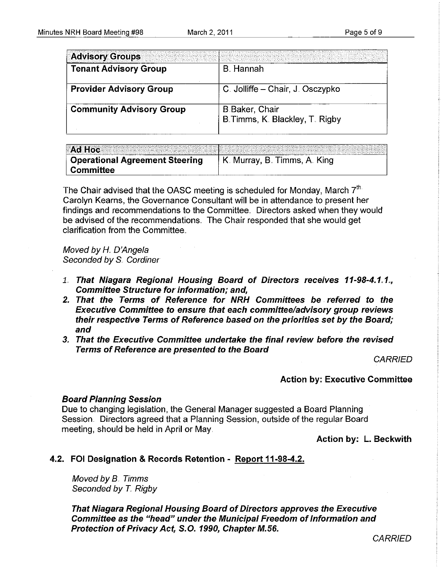| <b>Advisory Groups</b>          |                                                   |
|---------------------------------|---------------------------------------------------|
| <b>Tenant Advisory Group</b>    | <b>B.</b> Hannah                                  |
| <b>Provider Advisory Group</b>  | C. Jolliffe - Chair, J. Osczypko                  |
| <b>Community Advisory Group</b> | B Baker, Chair<br>B. Timms, K. Blackley, T. Rigby |
|                                 |                                                   |

|                                       | <b>Ad Hoc Example 2016 Contract Contract Contract Contract Contract Contract Contract Contract Contract Contract Contract Contract Contract Contract Contract Contract Contract Contract Contract Contract Contract Contract</b><br>. Didatta internativ izine internatival izine internatival experimental experimental internet distributions. Distributions in the second internet in a subsequent of the component of the compo |
|---------------------------------------|-------------------------------------------------------------------------------------------------------------------------------------------------------------------------------------------------------------------------------------------------------------------------------------------------------------------------------------------------------------------------------------------------------------------------------------|
| <b>Operational Agreement Steering</b> | K. Murray, B. Timms, A. King                                                                                                                                                                                                                                                                                                                                                                                                        |
| <b>Committee</b><br>                  |                                                                                                                                                                                                                                                                                                                                                                                                                                     |

The Chair advised that the OASC meeting is scheduled for Monday, March  $7<sup>th</sup>$ Carolyn Kearns, the Governance Consultant will be in attendance to present her findings and recommendations to the Committee.. Directors asked when they would be advised of the recommendations. The Chair responded that she would get clarification from the Committee ..

Moved by H. D'Angela Seconded by S. Cordiner

- 1. That Niagara Regional Housing Board of Directors receives 11-98-4.1.1., Committee Structure for information; and,
- 2. That the Terms of Reference for NRH Committees be referred to the Executive Committee to ensure that each committee/advisory group reviews their respective Terms of Reference based on the priorities set by the Board; and
- 3. That the Executive Committee undertake the final review before the revised Terms of Reference are presented to the Board

**CARRIED** 

#### Action by: Executive Committee

#### Board Planning Session

Due to changing legislation, the General Manager suggested a Board Planning Session. Directors agreed that a Planning Session, outside of the regular Board meeting, should be held in April or May.

Action by: L. Beckwith

#### 4.2. FOI Designation & Records Retention - Report 11-98-4.2.

Moved by B. Timms Seconded by T. Rigby

That Niagara Regional Housing Board of Directors approves the Executive Committee as the "head" under the Municipal Freedom of Information and Protection of Privacy Act, S.O. 1990, Chapter M.56.

**CARRIED**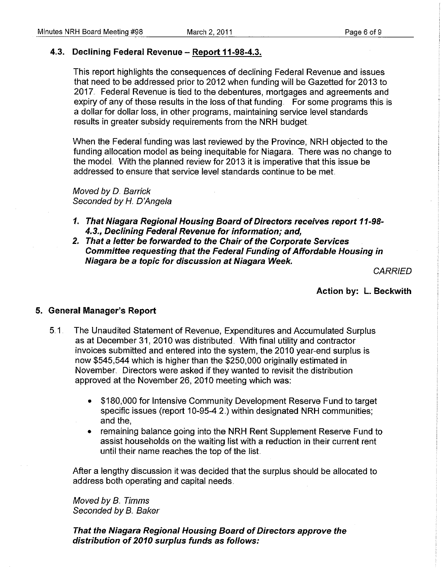#### 4.3. Declining Federal Revenue - Report 11-98-4.3.

This report highlights the consequences of declining Federal Revenue and issues that need to be addressed prior to 2012 when funding will be Gazetted for 2013 to 2017. Federal Revenue is tied to the debentures, mortgages and agreements and expiry of any of these results in the loss of that funding. For some programs this is a dollar for dollar loss, in other programs, maintaining service level standards results in greater subsidy requirements from the NRH budget

When the Federal funding was last reviewed by the Province, NRH objected to the funding allocation model as being inequitable for Niagara. There was no change to the model. With the planned review for 2013 it is imperative that this issue be addressed to ensure that service level standards continue to be met

Moved by D.. Barrick Seconded by H. D'Angela

- 1. That Niagara Regional Housing Board of Directors receives report 11-98- 4.3., Declining Federal Revenue for information; and,
- *2.* That a letter be forwarded to the Chair of the Corporate Services Committee requesting that the Federal Funding of Affordable Housing in Niagara be a topic for discussion at Niagara Week.

**CARRIED** 

Action by: L. Beckwith

#### 5. General Manager's Report

- 5.1. The Unaudited Statement of Revenue, Expenditures and Accumulated Surplus as at December 31, 2010 was distributed. With final utility and contractor invoices submitted and entered into the system, the 2010 year-end surplus is now \$545,544 which is higher than the \$250,000 originally estimated in November. Directors were asked if they wanted to revisit the distribution approved at the November 26, 2010 meeting which was:
	- \$180,000 for Intensive Community Development Reserve Fund to target specific issues (report 10-95-4.2.) within designated NRH communities; and the,
	- remaining balance going into the NRH Rent Supplement Reserve Fund to assist households on the waiting list with a reduction in their current rent until their name reaches the top of the list

After a lengthy discussion it was decided that the surplus should be allocated to address both operating and capital needs.

Moved by B.. Timms Seconded by B. Baker

That the Niagara Regional Housing Board of Directors approve the distribution of 2010 surplus funds as follows: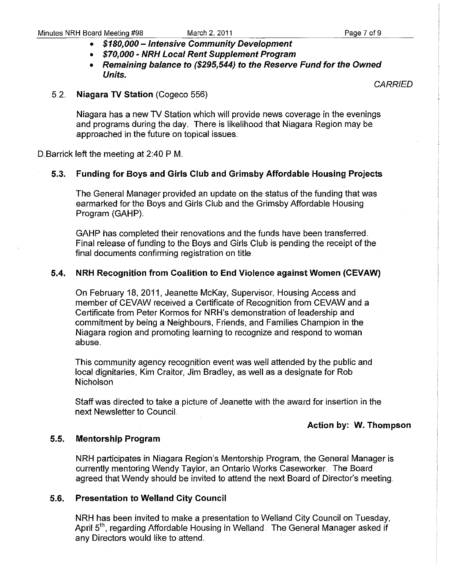- **\$180,000 - Intensive Community Development**
- **\$70,000 - NRH Local Rent Supplement Proglam**
- **Remaining balance to (\$295,544) to the Reserve Fund for the Owned Units.**

**CARRIED** 

#### 5.2., **Niagara TV Station** (Cogeco 556)

Niagara has a new TV Station which will provide news coverage in the evenings and programs during the day. There is likelihood that Niagara Region may be approached in the future on topical issues,

D. Barrick left the meeting at 2:40 P.M.

#### **5.3. Funding for Boys and Girls Club and Grimsby Affordable Housing Projects**

The General Manager provided an update on the status of the funding that was earmarked for the Boys and Girls Club and the Grimsby Affordable Housing Program (GAHP)

GAHP has completed their renovations and the funds have been transferred, Final release of funding to the Boys and Girls Club is pending the receipt of the final documents confirming registration on title,

#### **5.4. NRH Recognition from Coalition to End Violence against Women (CEVAW)**

On February 18, 2011, Jeanette McKay, Supervisor, Housing Access and member of CEVAW received a Certificate of Recognition from CEVAW and a Certificate from Peter Kormos for NRH's demonstration of leadership and commitment by being a Neighbours, Friends, and Families Champion in the Niagara region and promoting learning to recognize and respond to woman abuse,

This community agency recognition event was well attended by the public and local dignitaries, Kim Craitor, Jim Bradley, as well as a designate for Rob Nicholson

Staff was directed to take a picture of Jeanette with the award for insertion in the next Newsletter to CounciL

#### **Action by: W. Thompson**

#### **5.5. Mentorship Program**

**NRH** participates in Niagara Region's Mentorship Program, the General Manager is currently mentoring Wendy Taylor, an Ontario Works Caseworker. The Board agreed that Wendy should be invited to attend the next Board of Director's meeting.

#### **5.6. Presentation to Weiland City Council**

**NRH** has been invited to make a presentation to Weiland City Council on Tuesday, April 5<sup>th</sup>, regarding Affordable Housing in Welland. The General Manager asked if any Directors would like to attend.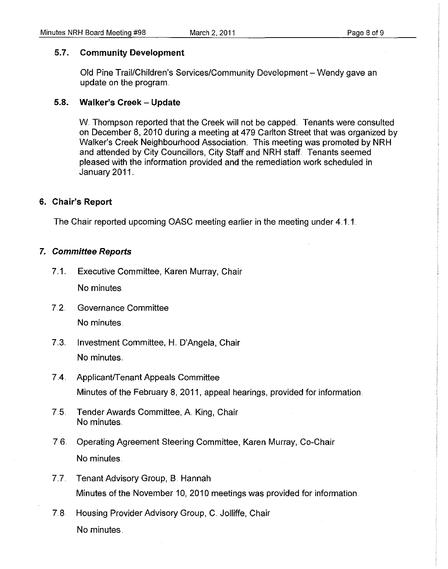#### 5.7. Community Development

Old Pine Trail/Children's Services/Community Development - Wendy gave an update on the program.

#### 5.8. Walker's Creek - Update

W. Thompson reported that the Creek will not be capped. Tenants were consulted on December 8, 2010 during a meeting at 479 Carlton Street that was organized by Walker's Creek Neighbourhood Association. This meeting was promoted by NRH and attended by City Councillors, City Staff and NRH staff. Tenants seemed pleased with the information provided and the remediation work scheduled in January 2011.

#### 6. Chair's Report

The Chair reported upcoming OASC meeting earlier in the meeting under 4.1.1.

#### 7. Committee Reports

- 7.1. Executive Committee, Karen Murray, Chair No minutes.
- 7.2. Governance Committee No minutes.
- 7..3.. Investment Committee, H. D'Angela, Chair No minutes.
- 7.4 Applicant/Tenant Appeals Committee Minutes of the February 8, 2011, appeal hearings, provided for information.
- 7.5. Tender Awards Committee, A King, Chair No minutes ..
- 7.6.. Operating Agreement Steering Committee, Karen Murray, Co-Chair No minutes ..
- 7.7. Tenant Advisory Group, B. Hannah Minutes of the November 10, 2010 meetings was provided for information.
- 7.8. Housing Provider Advisory Group, C. Jolliffe, Chair No minutes.